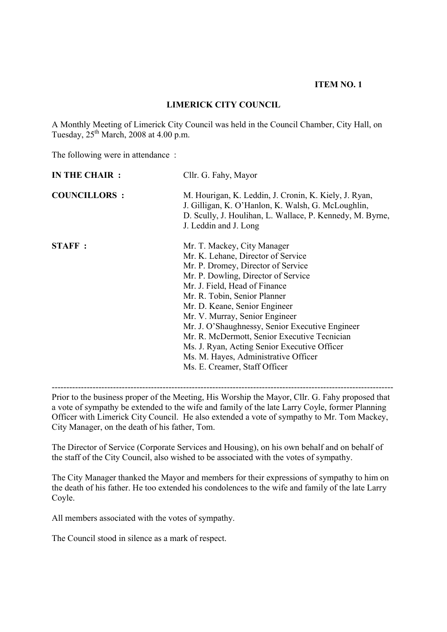#### **ITEM NO. 1**

### **LIMERICK CITY COUNCIL**

A Monthly Meeting of Limerick City Council was held in the Council Chamber, City Hall, on Tuesday,  $25<sup>th</sup> March$ , 2008 at 4.00 p.m.

The following were in attendance :

| IN THE CHAIR :      | Cllr. G. Fahy, Mayor                                                                                                                                                                                                                                                                                                                                                                                                                                                                                           |
|---------------------|----------------------------------------------------------------------------------------------------------------------------------------------------------------------------------------------------------------------------------------------------------------------------------------------------------------------------------------------------------------------------------------------------------------------------------------------------------------------------------------------------------------|
| <b>COUNCILLORS:</b> | M. Hourigan, K. Leddin, J. Cronin, K. Kiely, J. Ryan,<br>J. Gilligan, K. O'Hanlon, K. Walsh, G. McLoughlin,<br>D. Scully, J. Houlihan, L. Wallace, P. Kennedy, M. Byrne,<br>J. Leddin and J. Long                                                                                                                                                                                                                                                                                                              |
| STAFF:              | Mr. T. Mackey, City Manager<br>Mr. K. Lehane, Director of Service<br>Mr. P. Dromey, Director of Service<br>Mr. P. Dowling, Director of Service<br>Mr. J. Field, Head of Finance<br>Mr. R. Tobin, Senior Planner<br>Mr. D. Keane, Senior Engineer<br>Mr. V. Murray, Senior Engineer<br>Mr. J. O'Shaughnessy, Senior Executive Engineer<br>Mr. R. McDermott, Senior Executive Tecnician<br>Ms. J. Ryan, Acting Senior Executive Officer<br>Ms. M. Hayes, Administrative Officer<br>Ms. E. Creamer, Staff Officer |

Prior to the business proper of the Meeting, His Worship the Mayor, Cllr. G. Fahy proposed that a vote of sympathy be extended to the wife and family of the late Larry Coyle, former Planning Officer with Limerick City Council. He also extended a vote of sympathy to Mr. Tom Mackey, City Manager, on the death of his father, Tom.

The Director of Service (Corporate Services and Housing), on his own behalf and on behalf of the staff of the City Council, also wished to be associated with the votes of sympathy.

The City Manager thanked the Mayor and members for their expressions of sympathy to him on the death of his father. He too extended his condolences to the wife and family of the late Larry Coyle.

All members associated with the votes of sympathy.

The Council stood in silence as a mark of respect.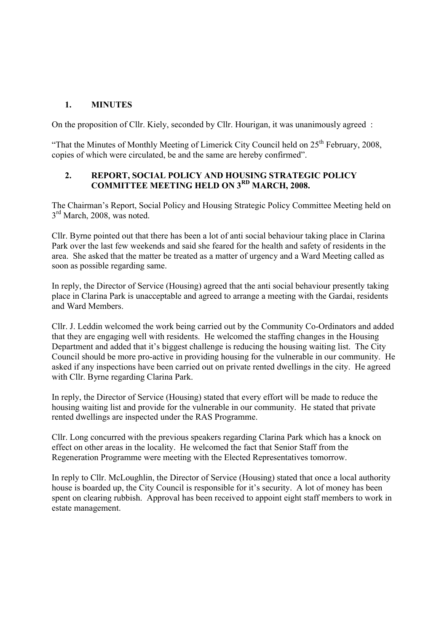## **1. MINUTES**

On the proposition of Cllr. Kiely, seconded by Cllr. Hourigan, it was unanimously agreed :

"That the Minutes of Monthly Meeting of Limerick City Council held on  $25<sup>th</sup>$  February, 2008, copies of which were circulated, be and the same are hereby confirmed".

### **2. REPORT, SOCIAL POLICY AND HOUSING STRATEGIC POLICY COMMITTEE MEETING HELD ON 3RD MARCH, 2008.**

The Chairman's Report, Social Policy and Housing Strategic Policy Committee Meeting held on  $3<sup>rd</sup>$  March, 2008, was noted.

Cllr. Byrne pointed out that there has been a lot of anti social behaviour taking place in Clarina Park over the last few weekends and said she feared for the health and safety of residents in the area. She asked that the matter be treated as a matter of urgency and a Ward Meeting called as soon as possible regarding same.

In reply, the Director of Service (Housing) agreed that the anti social behaviour presently taking place in Clarina Park is unacceptable and agreed to arrange a meeting with the Gardai, residents and Ward Members.

Cllr. J. Leddin welcomed the work being carried out by the Community Co-Ordinators and added that they are engaging well with residents. He welcomed the staffing changes in the Housing Department and added that it's biggest challenge is reducing the housing waiting list. The City Council should be more pro-active in providing housing for the vulnerable in our community. He asked if any inspections have been carried out on private rented dwellings in the city. He agreed with Cllr. Byrne regarding Clarina Park.

In reply, the Director of Service (Housing) stated that every effort will be made to reduce the housing waiting list and provide for the vulnerable in our community. He stated that private rented dwellings are inspected under the RAS Programme.

Cllr. Long concurred with the previous speakers regarding Clarina Park which has a knock on effect on other areas in the locality. He welcomed the fact that Senior Staff from the Regeneration Programme were meeting with the Elected Representatives tomorrow.

In reply to Cllr. McLoughlin, the Director of Service (Housing) stated that once a local authority house is boarded up, the City Council is responsible for it's security. A lot of money has been spent on clearing rubbish. Approval has been received to appoint eight staff members to work in estate management.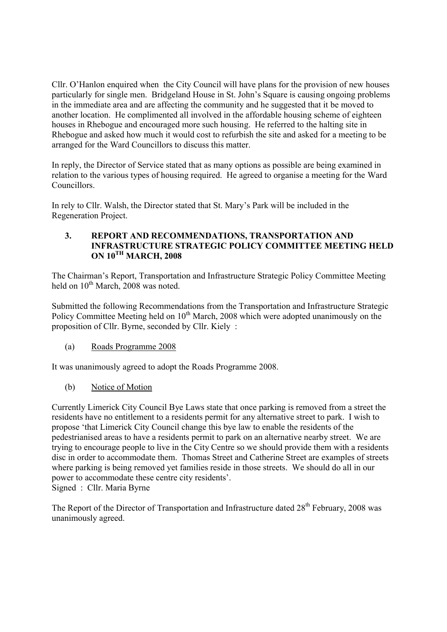Cllr. O'Hanlon enquired when the City Council will have plans for the provision of new houses particularly for single men. Bridgeland House in St. John's Square is causing ongoing problems in the immediate area and are affecting the community and he suggested that it be moved to another location. He complimented all involved in the affordable housing scheme of eighteen houses in Rhebogue and encouraged more such housing. He referred to the halting site in Rhebogue and asked how much it would cost to refurbish the site and asked for a meeting to be arranged for the Ward Councillors to discuss this matter.

In reply, the Director of Service stated that as many options as possible are being examined in relation to the various types of housing required. He agreed to organise a meeting for the Ward Councillors.

In rely to Cllr. Walsh, the Director stated that St. Mary's Park will be included in the Regeneration Project.

### **3. REPORT AND RECOMMENDATIONS, TRANSPORTATION AND INFRASTRUCTURE STRATEGIC POLICY COMMITTEE MEETING HELD ON 10TH MARCH, 2008**

The Chairman's Report, Transportation and Infrastructure Strategic Policy Committee Meeting held on  $10^{th}$  March, 2008 was noted.

Submitted the following Recommendations from the Transportation and Infrastructure Strategic Policy Committee Meeting held on 10<sup>th</sup> March, 2008 which were adopted unanimously on the proposition of Cllr. Byrne, seconded by Cllr. Kiely :

(a) Roads Programme 2008

It was unanimously agreed to adopt the Roads Programme 2008.

(b) Notice of Motion

Currently Limerick City Council Bye Laws state that once parking is removed from a street the residents have no entitlement to a residents permit for any alternative street to park. I wish to propose 'that Limerick City Council change this bye law to enable the residents of the pedestrianised areas to have a residents permit to park on an alternative nearby street. We are trying to encourage people to live in the City Centre so we should provide them with a residents disc in order to accommodate them. Thomas Street and Catherine Street are examples of streets where parking is being removed yet families reside in those streets. We should do all in our power to accommodate these centre city residents'. Signed : Cllr. Maria Byrne

The Report of the Director of Transportation and Infrastructure dated 28<sup>th</sup> February, 2008 was unanimously agreed.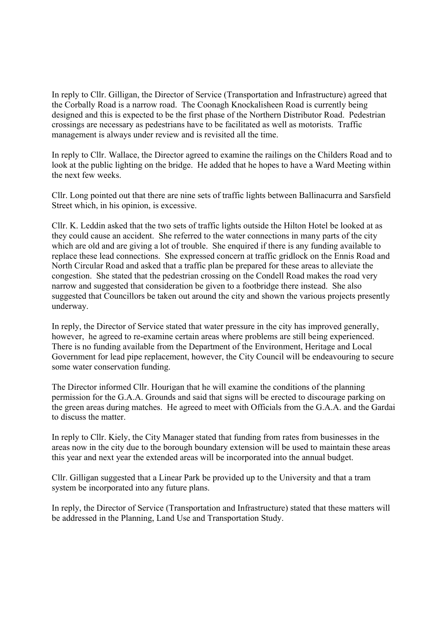In reply to Cllr. Gilligan, the Director of Service (Transportation and Infrastructure) agreed that the Corbally Road is a narrow road. The Coonagh Knockalisheen Road is currently being designed and this is expected to be the first phase of the Northern Distributor Road. Pedestrian crossings are necessary as pedestrians have to be facilitated as well as motorists. Traffic management is always under review and is revisited all the time.

In reply to Cllr. Wallace, the Director agreed to examine the railings on the Childers Road and to look at the public lighting on the bridge. He added that he hopes to have a Ward Meeting within the next few weeks.

Cllr. Long pointed out that there are nine sets of traffic lights between Ballinacurra and Sarsfield Street which, in his opinion, is excessive.

Cllr. K. Leddin asked that the two sets of traffic lights outside the Hilton Hotel be looked at as they could cause an accident. She referred to the water connections in many parts of the city which are old and are giving a lot of trouble. She enquired if there is any funding available to replace these lead connections. She expressed concern at traffic gridlock on the Ennis Road and North Circular Road and asked that a traffic plan be prepared for these areas to alleviate the congestion. She stated that the pedestrian crossing on the Condell Road makes the road very narrow and suggested that consideration be given to a footbridge there instead. She also suggested that Councillors be taken out around the city and shown the various projects presently underway.

In reply, the Director of Service stated that water pressure in the city has improved generally, however, he agreed to re-examine certain areas where problems are still being experienced. There is no funding available from the Department of the Environment, Heritage and Local Government for lead pipe replacement, however, the City Council will be endeavouring to secure some water conservation funding.

The Director informed Cllr. Hourigan that he will examine the conditions of the planning permission for the G.A.A. Grounds and said that signs will be erected to discourage parking on the green areas during matches. He agreed to meet with Officials from the G.A.A. and the Gardai to discuss the matter.

In reply to Cllr. Kiely, the City Manager stated that funding from rates from businesses in the areas now in the city due to the borough boundary extension will be used to maintain these areas this year and next year the extended areas will be incorporated into the annual budget.

Cllr. Gilligan suggested that a Linear Park be provided up to the University and that a tram system be incorporated into any future plans.

In reply, the Director of Service (Transportation and Infrastructure) stated that these matters will be addressed in the Planning, Land Use and Transportation Study.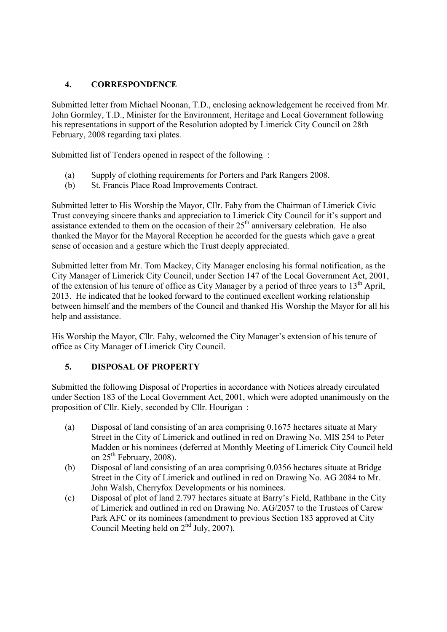## **4. CORRESPONDENCE**

Submitted letter from Michael Noonan, T.D., enclosing acknowledgement he received from Mr. John Gormley, T.D., Minister for the Environment, Heritage and Local Government following his representations in support of the Resolution adopted by Limerick City Council on 28th February, 2008 regarding taxi plates.

Submitted list of Tenders opened in respect of the following :

- (a) Supply of clothing requirements for Porters and Park Rangers 2008.
- (b) St. Francis Place Road Improvements Contract.

Submitted letter to His Worship the Mayor, Cllr. Fahy from the Chairman of Limerick Civic Trust conveying sincere thanks and appreciation to Limerick City Council for it's support and assistance extended to them on the occasion of their  $25<sup>th</sup>$  anniversary celebration. He also thanked the Mayor for the Mayoral Reception he accorded for the guests which gave a great sense of occasion and a gesture which the Trust deeply appreciated.

Submitted letter from Mr. Tom Mackey, City Manager enclosing his formal notification, as the City Manager of Limerick City Council, under Section 147 of the Local Government Act, 2001, of the extension of his tenure of office as City Manager by a period of three years to  $13<sup>th</sup>$  April, 2013. He indicated that he looked forward to the continued excellent working relationship between himself and the members of the Council and thanked His Worship the Mayor for all his help and assistance.

His Worship the Mayor, Cllr. Fahy, welcomed the City Manager's extension of his tenure of office as City Manager of Limerick City Council.

## **5. DISPOSAL OF PROPERTY**

Submitted the following Disposal of Properties in accordance with Notices already circulated under Section 183 of the Local Government Act, 2001, which were adopted unanimously on the proposition of Cllr. Kiely, seconded by Cllr. Hourigan :

- (a) Disposal of land consisting of an area comprising 0.1675 hectares situate at Mary Street in the City of Limerick and outlined in red on Drawing No. MIS 254 to Peter Madden or his nominees (deferred at Monthly Meeting of Limerick City Council held on  $25^{th}$  February, 2008).
- (b) Disposal of land consisting of an area comprising 0.0356 hectares situate at Bridge Street in the City of Limerick and outlined in red on Drawing No. AG 2084 to Mr. John Walsh, Cherryfox Developments or his nominees.
- (c) Disposal of plot of land 2.797 hectares situate at Barry's Field, Rathbane in the City of Limerick and outlined in red on Drawing No. AG/2057 to the Trustees of Carew Park AFC or its nominees (amendment to previous Section 183 approved at City Council Meeting held on  $2<sup>nd</sup>$  July, 2007).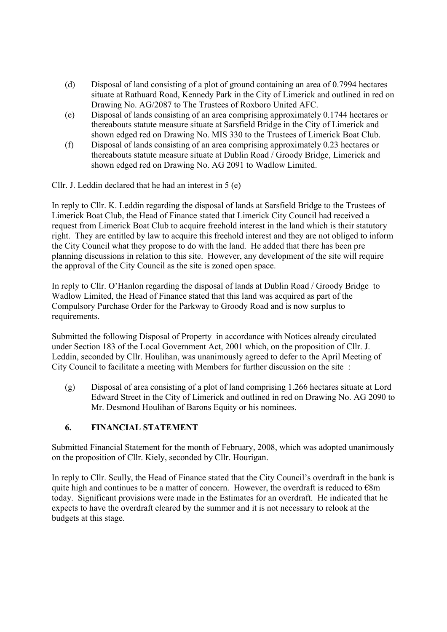- (d) Disposal of land consisting of a plot of ground containing an area of 0.7994 hectares situate at Rathuard Road, Kennedy Park in the City of Limerick and outlined in red on Drawing No. AG/2087 to The Trustees of Roxboro United AFC.
- (e) Disposal of lands consisting of an area comprising approximately 0.1744 hectares or thereabouts statute measure situate at Sarsfield Bridge in the City of Limerick and shown edged red on Drawing No. MIS 330 to the Trustees of Limerick Boat Club.
- (f) Disposal of lands consisting of an area comprising approximately 0.23 hectares or thereabouts statute measure situate at Dublin Road / Groody Bridge, Limerick and shown edged red on Drawing No. AG 2091 to Wadlow Limited.

Cllr. J. Leddin declared that he had an interest in 5 (e)

In reply to Cllr. K. Leddin regarding the disposal of lands at Sarsfield Bridge to the Trustees of Limerick Boat Club, the Head of Finance stated that Limerick City Council had received a request from Limerick Boat Club to acquire freehold interest in the land which is their statutory right. They are entitled by law to acquire this freehold interest and they are not obliged to inform the City Council what they propose to do with the land. He added that there has been pre planning discussions in relation to this site. However, any development of the site will require the approval of the City Council as the site is zoned open space.

In reply to Cllr. O'Hanlon regarding the disposal of lands at Dublin Road / Groody Bridge to Wadlow Limited, the Head of Finance stated that this land was acquired as part of the Compulsory Purchase Order for the Parkway to Groody Road and is now surplus to requirements.

Submitted the following Disposal of Property in accordance with Notices already circulated under Section 183 of the Local Government Act, 2001 which, on the proposition of Cllr. J. Leddin, seconded by Cllr. Houlihan, was unanimously agreed to defer to the April Meeting of City Council to facilitate a meeting with Members for further discussion on the site :

(g) Disposal of area consisting of a plot of land comprising 1.266 hectares situate at Lord Edward Street in the City of Limerick and outlined in red on Drawing No. AG 2090 to Mr. Desmond Houlihan of Barons Equity or his nominees.

## **6. FINANCIAL STATEMENT**

Submitted Financial Statement for the month of February, 2008, which was adopted unanimously on the proposition of Cllr. Kiely, seconded by Cllr. Hourigan.

In reply to Cllr. Scully, the Head of Finance stated that the City Council's overdraft in the bank is quite high and continues to be a matter of concern. However, the overdraft is reduced to  $\epsilon$ 8m today. Significant provisions were made in the Estimates for an overdraft. He indicated that he expects to have the overdraft cleared by the summer and it is not necessary to relook at the budgets at this stage.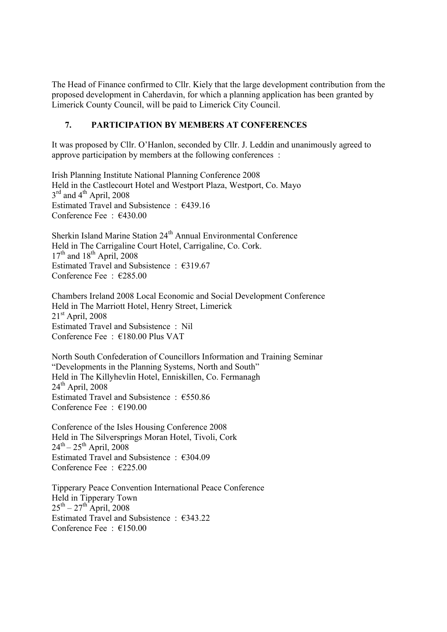The Head of Finance confirmed to Cllr. Kiely that the large development contribution from the proposed development in Caherdavin, for which a planning application has been granted by Limerick County Council, will be paid to Limerick City Council.

### **7. PARTICIPATION BY MEMBERS AT CONFERENCES**

It was proposed by Cllr. O'Hanlon, seconded by Cllr. J. Leddin and unanimously agreed to approve participation by members at the following conferences :

Irish Planning Institute National Planning Conference 2008 Held in the Castlecourt Hotel and Westport Plaza, Westport, Co. Mayo  $3<sup>rd</sup>$  and  $4<sup>th</sup>$  April, 2008 Estimated Travel and Subsistence : €439.16 Conference Fee : €430.00

Sherkin Island Marine Station 24<sup>th</sup> Annual Environmental Conference Held in The Carrigaline Court Hotel, Carrigaline, Co. Cork.  $17<sup>th</sup>$  and  $18<sup>th</sup>$  April, 2008 Estimated Travel and Subsistence : €319.67 Conference Fee  $\cdot$   $\in$  285.00

Chambers Ireland 2008 Local Economic and Social Development Conference Held in The Marriott Hotel, Henry Street, Limerick  $21<sup>st</sup>$  April, 2008 Estimated Travel and Subsistence : Nil Conference Fee : €180.00 Plus VAT

North South Confederation of Councillors Information and Training Seminar "Developments in the Planning Systems, North and South" Held in The Killyhevlin Hotel, Enniskillen, Co. Fermanagh  $24<sup>th</sup>$  April, 2008 Estimated Travel and Subsistence : €550.86 Conference Fee : €190.00

Conference of the Isles Housing Conference 2008 Held in The Silversprings Moran Hotel, Tivoli, Cork  $24^{th} - 25^{th}$  April, 2008 Estimated Travel and Subsistence :  $\epsilon$ 304.09 Conference Fee : €225.00

Tipperary Peace Convention International Peace Conference Held in Tipperary Town  $25<sup>th</sup> - 27<sup>th</sup>$  April, 2008 Estimated Travel and Subsistence :  $\epsilon$ 343.22 Conference Fee : €150.00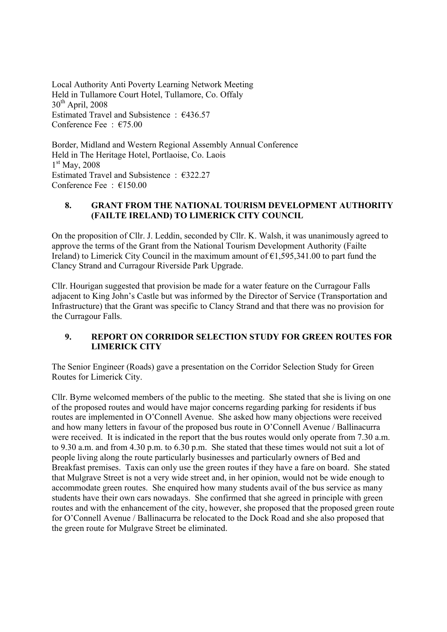Local Authority Anti Poverty Learning Network Meeting Held in Tullamore Court Hotel, Tullamore, Co. Offaly 30<sup>th</sup> April, 2008 Estimated Travel and Subsistence : €436.57 Conference Fee  $\cdot$   $\epsilon$ 75.00

Border, Midland and Western Regional Assembly Annual Conference Held in The Heritage Hotel, Portlaoise, Co. Laois  $1<sup>st</sup>$  May, 2008 Estimated Travel and Subsistence : €322.27 Conference Fee : €150.00

### **8. GRANT FROM THE NATIONAL TOURISM DEVELOPMENT AUTHORITY (FAILTE IRELAND) TO LIMERICK CITY COUNCIL**

On the proposition of Cllr. J. Leddin, seconded by Cllr. K. Walsh, it was unanimously agreed to approve the terms of the Grant from the National Tourism Development Authority (Failte Ireland) to Limerick City Council in the maximum amount of  $\epsilon$ 1,595,341.00 to part fund the Clancy Strand and Curragour Riverside Park Upgrade.

Cllr. Hourigan suggested that provision be made for a water feature on the Curragour Falls adjacent to King John's Castle but was informed by the Director of Service (Transportation and Infrastructure) that the Grant was specific to Clancy Strand and that there was no provision for the Curragour Falls.

## **9. REPORT ON CORRIDOR SELECTION STUDY FOR GREEN ROUTES FOR LIMERICK CITY**

The Senior Engineer (Roads) gave a presentation on the Corridor Selection Study for Green Routes for Limerick City.

Cllr. Byrne welcomed members of the public to the meeting. She stated that she is living on one of the proposed routes and would have major concerns regarding parking for residents if bus routes are implemented in O'Connell Avenue. She asked how many objections were received and how many letters in favour of the proposed bus route in O'Connell Avenue / Ballinacurra were received. It is indicated in the report that the bus routes would only operate from 7.30 a.m. to 9.30 a.m. and from 4.30 p.m. to 6.30 p.m. She stated that these times would not suit a lot of people living along the route particularly businesses and particularly owners of Bed and Breakfast premises. Taxis can only use the green routes if they have a fare on board. She stated that Mulgrave Street is not a very wide street and, in her opinion, would not be wide enough to accommodate green routes. She enquired how many students avail of the bus service as many students have their own cars nowadays. She confirmed that she agreed in principle with green routes and with the enhancement of the city, however, she proposed that the proposed green route for O'Connell Avenue / Ballinacurra be relocated to the Dock Road and she also proposed that the green route for Mulgrave Street be eliminated.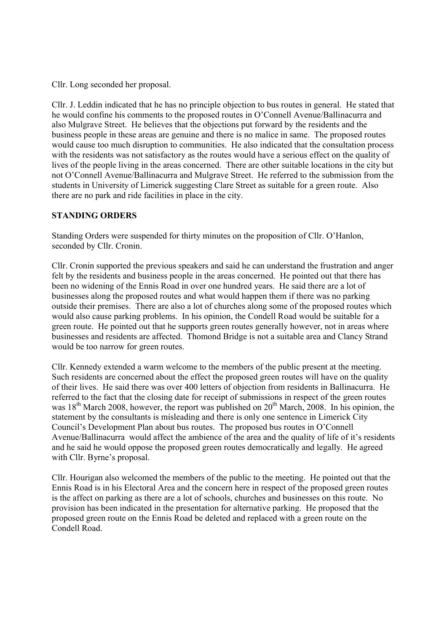Cllr. Long seconded her proposal.

Cllr. J. Leddin indicated that he has no principle objection to bus routes in general. He stated that he would confine his comments to the proposed routes in O'Connell Avenue/Ballinacurra and also Mulgrave Street. He believes that the objections put forward by the residents and the business people in these areas are genuine and there is no malice in same. The proposed routes would cause too much disruption to communities. He also indicated that the consultation process with the residents was not satisfactory as the routes would have a serious effect on the quality of lives of the people living in the areas concerned. There are other suitable locations in the city but not O'Connell Avenue/Ballinacurra and Mulgrave Street. He referred to the submission from the students in University of Limerick suggesting Clare Street as suitable for a green route. Also there are no park and ride facilities in place in the city.

### **STANDING ORDERS**

Standing Orders were suspended for thirty minutes on the proposition of Cllr. O'Hanlon, seconded by Cllr. Cronin.

Cllr. Cronin supported the previous speakers and said he can understand the frustration and anger felt by the residents and business people in the areas concerned. He pointed out that there has been no widening of the Ennis Road in over one hundred years. He said there are a lot of businesses along the proposed routes and what would happen them if there was no parking outside their premises. There are also a lot of churches along some of the proposed routes which would also cause parking problems. In his opinion, the Condell Road would be suitable for a green route. He pointed out that he supports green routes generally however, not in areas where businesses and residents are affected. Thomond Bridge is not a suitable area and Clancy Strand would be too narrow for green routes.

Cllr. Kennedy extended a warm welcome to the members of the public present at the meeting. Such residents are concerned about the effect the proposed green routes will have on the quality of their lives. He said there was over 400 letters of objection from residents in Ballinacurra. He referred to the fact that the closing date for receipt of submissions in respect of the green routes was  $18<sup>th</sup>$  March 2008, however, the report was published on  $20<sup>th</sup>$  March, 2008. In his opinion, the statement by the consultants is misleading and there is only one sentence in Limerick City Council's Development Plan about bus routes. The proposed bus routes in O'Connell Avenue/Ballinacurra would affect the ambience of the area and the quality of life of it's residents and he said he would oppose the proposed green routes democratically and legally. He agreed with Cllr. Byrne's proposal.

Cllr. Hourigan also welcomed the members of the public to the meeting. He pointed out that the Ennis Road is in his Electoral Area and the concern here in respect of the proposed green routes is the affect on parking as there are a lot of schools, churches and businesses on this route. No provision has been indicated in the presentation for alternative parking. He proposed that the proposed green route on the Ennis Road be deleted and replaced with a green route on the Condell Road.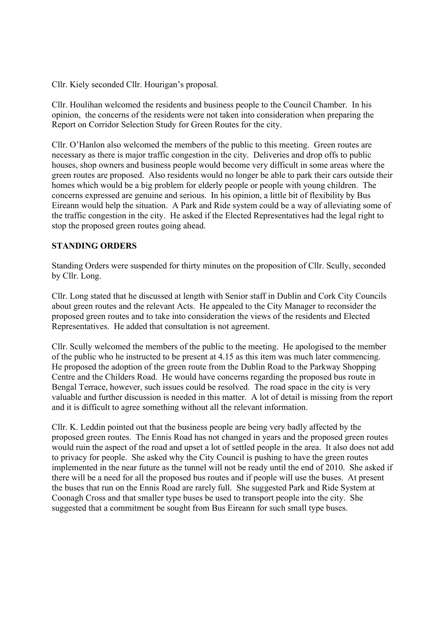Cllr. Kiely seconded Cllr. Hourigan's proposal.

Cllr. Houlihan welcomed the residents and business people to the Council Chamber. In his opinion, the concerns of the residents were not taken into consideration when preparing the Report on Corridor Selection Study for Green Routes for the city.

Cllr. O'Hanlon also welcomed the members of the public to this meeting. Green routes are necessary as there is major traffic congestion in the city. Deliveries and drop offs to public houses, shop owners and business people would become very difficult in some areas where the green routes are proposed. Also residents would no longer be able to park their cars outside their homes which would be a big problem for elderly people or people with young children. The concerns expressed are genuine and serious. In his opinion, a little bit of flexibility by Bus Eireann would help the situation. A Park and Ride system could be a way of alleviating some of the traffic congestion in the city. He asked if the Elected Representatives had the legal right to stop the proposed green routes going ahead.

### **STANDING ORDERS**

Standing Orders were suspended for thirty minutes on the proposition of Cllr. Scully, seconded by Cllr. Long.

Cllr. Long stated that he discussed at length with Senior staff in Dublin and Cork City Councils about green routes and the relevant Acts. He appealed to the City Manager to reconsider the proposed green routes and to take into consideration the views of the residents and Elected Representatives. He added that consultation is not agreement.

Cllr. Scully welcomed the members of the public to the meeting. He apologised to the member of the public who he instructed to be present at 4.15 as this item was much later commencing. He proposed the adoption of the green route from the Dublin Road to the Parkway Shopping Centre and the Childers Road. He would have concerns regarding the proposed bus route in Bengal Terrace, however, such issues could be resolved. The road space in the city is very valuable and further discussion is needed in this matter. A lot of detail is missing from the report and it is difficult to agree something without all the relevant information.

Cllr. K. Leddin pointed out that the business people are being very badly affected by the proposed green routes. The Ennis Road has not changed in years and the proposed green routes would ruin the aspect of the road and upset a lot of settled people in the area. It also does not add to privacy for people. She asked why the City Council is pushing to have the green routes implemented in the near future as the tunnel will not be ready until the end of 2010. She asked if there will be a need for all the proposed bus routes and if people will use the buses. At present the buses that run on the Ennis Road are rarely full. She suggested Park and Ride System at Coonagh Cross and that smaller type buses be used to transport people into the city. She suggested that a commitment be sought from Bus Eireann for such small type buses.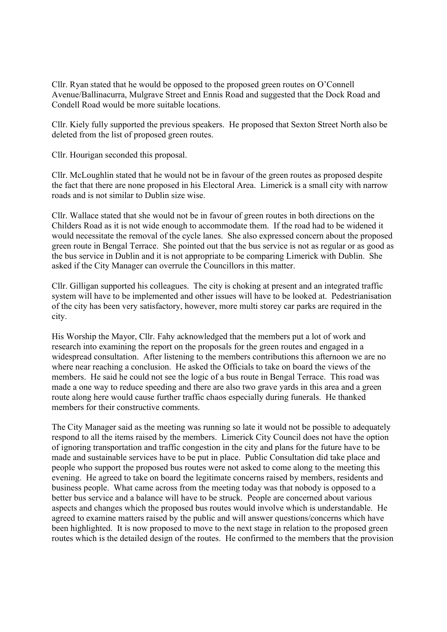Cllr. Ryan stated that he would be opposed to the proposed green routes on O'Connell Avenue/Ballinacurra, Mulgrave Street and Ennis Road and suggested that the Dock Road and Condell Road would be more suitable locations.

Cllr. Kiely fully supported the previous speakers. He proposed that Sexton Street North also be deleted from the list of proposed green routes.

Cllr. Hourigan seconded this proposal.

Cllr. McLoughlin stated that he would not be in favour of the green routes as proposed despite the fact that there are none proposed in his Electoral Area. Limerick is a small city with narrow roads and is not similar to Dublin size wise.

Cllr. Wallace stated that she would not be in favour of green routes in both directions on the Childers Road as it is not wide enough to accommodate them. If the road had to be widened it would necessitate the removal of the cycle lanes. She also expressed concern about the proposed green route in Bengal Terrace. She pointed out that the bus service is not as regular or as good as the bus service in Dublin and it is not appropriate to be comparing Limerick with Dublin. She asked if the City Manager can overrule the Councillors in this matter.

Cllr. Gilligan supported his colleagues. The city is choking at present and an integrated traffic system will have to be implemented and other issues will have to be looked at. Pedestrianisation of the city has been very satisfactory, however, more multi storey car parks are required in the city.

His Worship the Mayor, Cllr. Fahy acknowledged that the members put a lot of work and research into examining the report on the proposals for the green routes and engaged in a widespread consultation. After listening to the members contributions this afternoon we are no where near reaching a conclusion. He asked the Officials to take on board the views of the members. He said he could not see the logic of a bus route in Bengal Terrace. This road was made a one way to reduce speeding and there are also two grave yards in this area and a green route along here would cause further traffic chaos especially during funerals. He thanked members for their constructive comments.

The City Manager said as the meeting was running so late it would not be possible to adequately respond to all the items raised by the members. Limerick City Council does not have the option of ignoring transportation and traffic congestion in the city and plans for the future have to be made and sustainable services have to be put in place. Public Consultation did take place and people who support the proposed bus routes were not asked to come along to the meeting this evening. He agreed to take on board the legitimate concerns raised by members, residents and business people. What came across from the meeting today was that nobody is opposed to a better bus service and a balance will have to be struck. People are concerned about various aspects and changes which the proposed bus routes would involve which is understandable. He agreed to examine matters raised by the public and will answer questions/concerns which have been highlighted. It is now proposed to move to the next stage in relation to the proposed green routes which is the detailed design of the routes. He confirmed to the members that the provision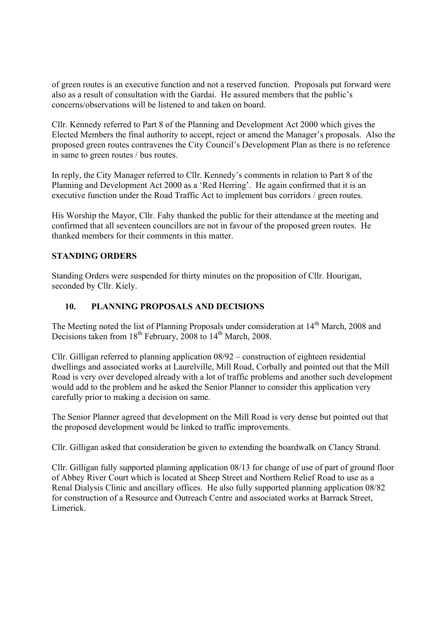of green routes is an executive function and not a reserved function. Proposals put forward were also as a result of consultation with the Gardai. He assured members that the public's concerns/observations will be listened to and taken on board.

Cllr. Kennedy referred to Part 8 of the Planning and Development Act 2000 which gives the Elected Members the final authority to accept, reject or amend the Manager's proposals. Also the proposed green routes contravenes the City Council's Development Plan as there is no reference in same to green routes / bus routes.

In reply, the City Manager referred to Cllr. Kennedy's comments in relation to Part 8 of the Planning and Development Act 2000 as a 'Red Herring'. He again confirmed that it is an executive function under the Road Traffic Act to implement bus corridors / green routes.

His Worship the Mayor, Cllr. Fahy thanked the public for their attendance at the meeting and confirmed that all seventeen councillors are not in favour of the proposed green routes. He thanked members for their comments in this matter.

### **STANDING ORDERS**

Standing Orders were suspended for thirty minutes on the proposition of Cllr. Hourigan, seconded by Cllr. Kiely.

### **10. PLANNING PROPOSALS AND DECISIONS**

The Meeting noted the list of Planning Proposals under consideration at 14<sup>th</sup> March, 2008 and Decisions taken from  $18<sup>th</sup>$  February, 2008 to  $14<sup>th</sup>$  March, 2008.

Cllr. Gilligan referred to planning application 08/92 – construction of eighteen residential dwellings and associated works at Laurelville, Mill Road, Corbally and pointed out that the Mill Road is very over developed already with a lot of traffic problems and another such development would add to the problem and he asked the Senior Planner to consider this application very carefully prior to making a decision on same.

The Senior Planner agreed that development on the Mill Road is very dense but pointed out that the proposed development would be linked to traffic improvements.

Cllr. Gilligan asked that consideration be given to extending the boardwalk on Clancy Strand.

Cllr. Gilligan fully supported planning application 08/13 for change of use of part of ground floor of Abbey River Court which is located at Sheep Street and Northern Relief Road to use as a Renal Dialysis Clinic and ancillary offices. He also fully supported planning application 08/82 for construction of a Resource and Outreach Centre and associated works at Barrack Street, Limerick.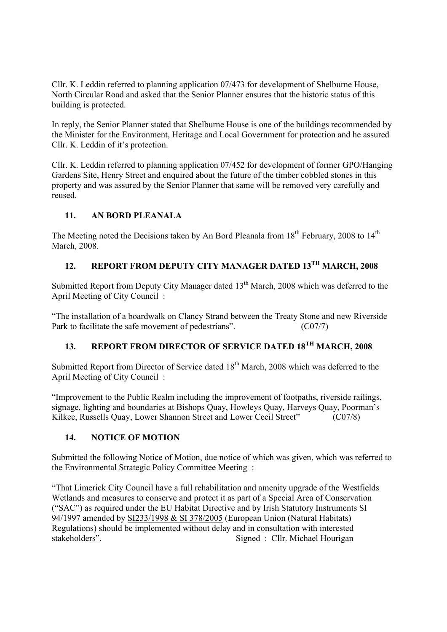Cllr. K. Leddin referred to planning application 07/473 for development of Shelburne House, North Circular Road and asked that the Senior Planner ensures that the historic status of this building is protected.

In reply, the Senior Planner stated that Shelburne House is one of the buildings recommended by the Minister for the Environment, Heritage and Local Government for protection and he assured Cllr. K. Leddin of it's protection.

Cllr. K. Leddin referred to planning application 07/452 for development of former GPO/Hanging Gardens Site, Henry Street and enquired about the future of the timber cobbled stones in this property and was assured by the Senior Planner that same will be removed very carefully and reused.

## **11. AN BORD PLEANALA**

The Meeting noted the Decisions taken by An Bord Pleanala from  $18<sup>th</sup>$  February, 2008 to  $14<sup>th</sup>$ March, 2008.

# **12. REPORT FROM DEPUTY CITY MANAGER DATED 13TH MARCH, 2008**

Submitted Report from Deputy City Manager dated 13<sup>th</sup> March, 2008 which was deferred to the April Meeting of City Council :

"The installation of a boardwalk on Clancy Strand between the Treaty Stone and new Riverside Park to facilitate the safe movement of pedestrians". (C07/7)

# **13. REPORT FROM DIRECTOR OF SERVICE DATED 18TH MARCH, 2008**

Submitted Report from Director of Service dated 18<sup>th</sup> March, 2008 which was deferred to the April Meeting of City Council :

"Improvement to the Public Realm including the improvement of footpaths, riverside railings, signage, lighting and boundaries at Bishops Quay, Howleys Quay, Harveys Quay, Poorman's Kilkee, Russells Quay, Lower Shannon Street and Lower Cecil Street" (C07/8)

# **14. NOTICE OF MOTION**

Submitted the following Notice of Motion, due notice of which was given, which was referred to the Environmental Strategic Policy Committee Meeting :

"That Limerick City Council have a full rehabilitation and amenity upgrade of the Westfields Wetlands and measures to conserve and protect it as part of a Special Area of Conservation ("SAC") as required under the EU Habitat Directive and by Irish Statutory Instruments SI 94/1997 amended by SI233/1998 & SI 378/2005 (European Union (Natural Habitats) Regulations) should be implemented without delay and in consultation with interested stakeholders". Signed : Cllr. Michael Hourigan